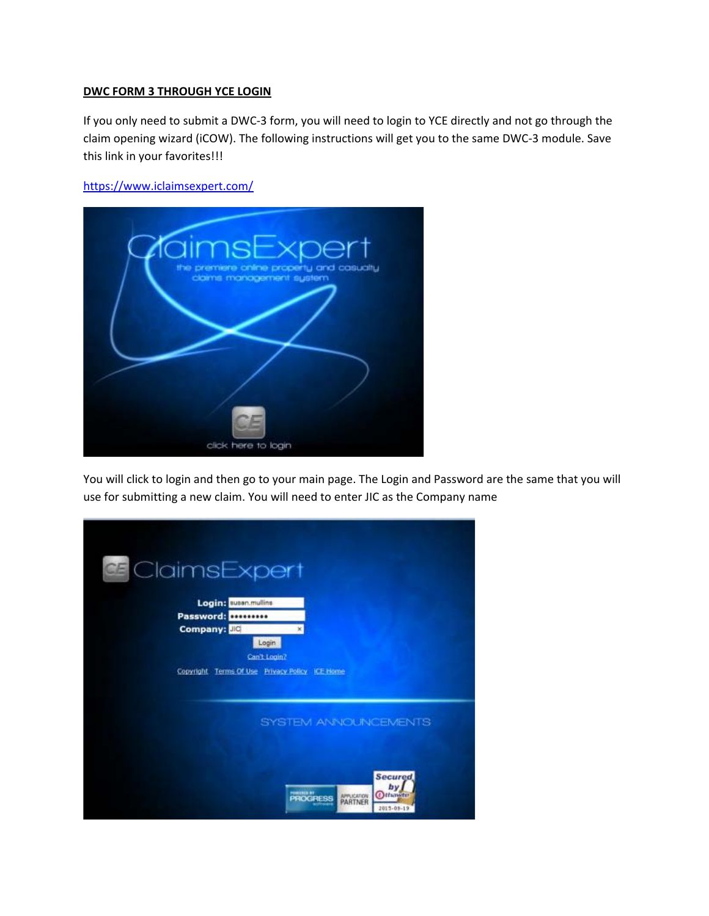## **DWC FORM 3 THROUGH YCE LOGIN**

If you only need to submit a DWC‐3 form, you will need to login to YCE directly and not go through the claim opening wizard (iCOW). The following instructions will get you to the same DWC‐3 module. Save this link in your favorites!!!

https://www.iclaimsexpert.com/



You will click to login and then go to your main page. The Login and Password are the same that you will use for submitting a new claim. You will need to enter JIC as the Company name

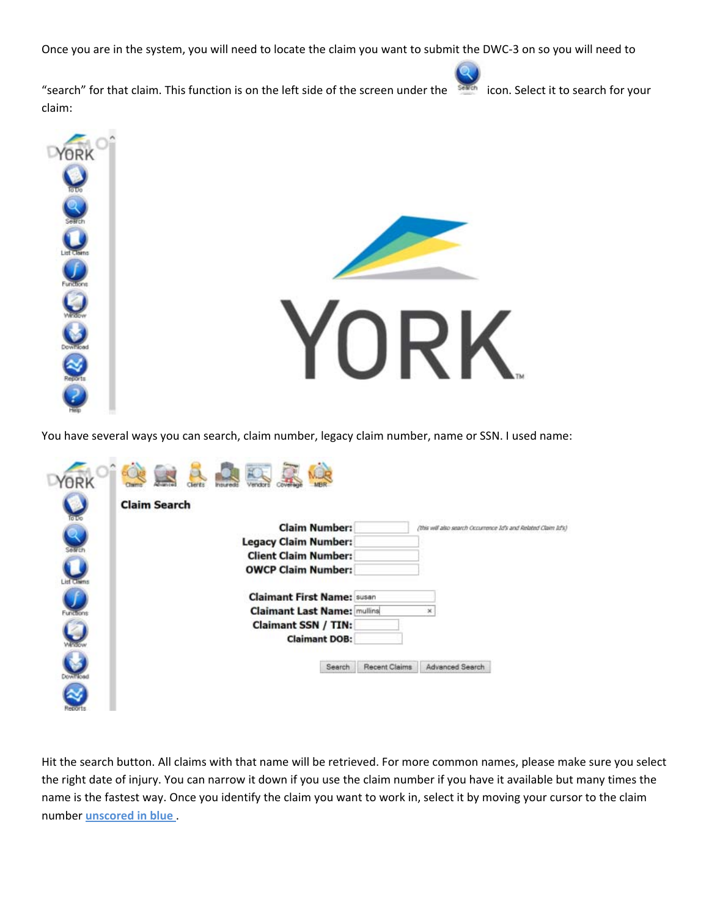Once you are in the system, you will need to locate the claim you want to submit the DWC‐3 on so you will need to

"search" for that claim. This function is on the left side of the screen under the icon. Select it to search for your claim:



You have several ways you can search, claim number, legacy claim number, name or SSN. I used name:

| ioto      | <b>Claim Search</b>                                                                    |  |
|-----------|----------------------------------------------------------------------------------------|--|
|           | <b>Claim Number:</b><br>(this will also search Occurrence Id's and Related Claim Id's) |  |
|           | <b>Legacy Claim Number:</b>                                                            |  |
|           | <b>Client Claim Number:</b>                                                            |  |
|           | <b>OWCP Claim Number:</b>                                                              |  |
|           | <b>Claimant First Name: susan</b>                                                      |  |
| Functions | <b>Claimant Last Name: mulling</b><br>×                                                |  |
|           | <b>Claimant SSN / TIN:</b>                                                             |  |
| $\cup$    | <b>Claimant DOB:</b>                                                                   |  |
|           | Advanced Search<br>Recent Claims<br>Search                                             |  |
| tepor     |                                                                                        |  |

Hit the search button. All claims with that name will be retrieved. For more common names, please make sure you select the right date of injury. You can narrow it down if you use the claim number if you have it available but many times the name is the fastest way. Once you identify the claim you want to work in, select it by moving your cursor to the claim number **unscored in blue** .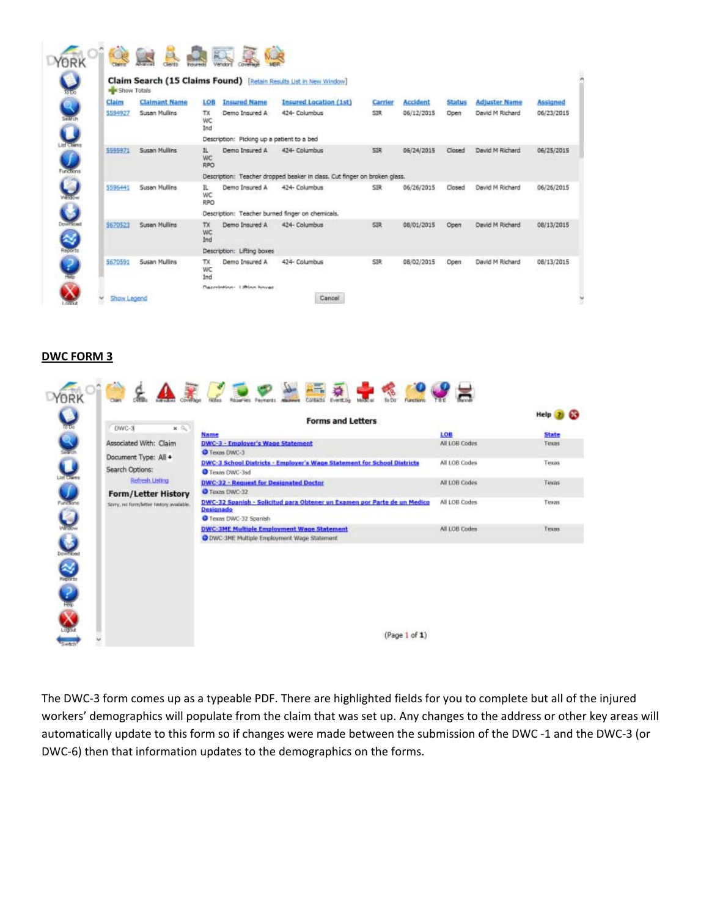| <b>BE Show Totals</b> |                      |                                |                                            | Claim Search (15 Claims Found) [Retain Results List in New Window]        |            |            |               |                      |                 |
|-----------------------|----------------------|--------------------------------|--------------------------------------------|---------------------------------------------------------------------------|------------|------------|---------------|----------------------|-----------------|
| Claim                 | <b>Claimant Name</b> | LOB                            | <b>Insured Name</b>                        | <b>Insured Location (1st)</b>                                             | Carrier    | Accident   | <b>Status</b> | <b>Adjuster Name</b> | <b>Assigned</b> |
| 5594927               | Susan Mullins        | TX.<br>WC<br>Ind               | Demo Insured A                             | 424- Columbus                                                             | <b>SIR</b> | 06/12/2015 | Open          | David M Richard      | 06/23/2015      |
|                       |                      |                                | Description: Picking up a patient to a bed |                                                                           |            |            |               |                      |                 |
| 5595971               | <b>Susan Mullins</b> | IL.<br><b>WC</b><br><b>RPO</b> | Demo Insured A                             | 424- Columbus                                                             | SIR        | 06/24/2015 | Closed        | David M Richard      | 06/25/2015      |
|                       |                      |                                |                                            | Description: Teacher dropped beaker in class. Cut finger on broken glass. |            |            |               |                      |                 |
| 5596441               | Susan Mullins        | IL.<br>WC<br><b>RPO</b>        | Demo Insured A                             | 424- Columbus                                                             | SIR        | 06/26/2015 | Closed        | David M Richard      | 06/26/2015      |
|                       |                      |                                |                                            | Description: Teacher burned finger on chemicals.                          |            |            |               |                      |                 |
| 5670523               | Susan Mullins        | TX.<br><b>WC</b><br>Ind        | Demo Insured A                             | 424- Columbus                                                             | SIR        | 08/01/2015 | Open          | David M Richard      | 08/13/2015      |
|                       |                      |                                | Description: Lifting boxes                 |                                                                           |            |            |               |                      |                 |
| 5670591               | <b>Susan Mullins</b> | TX.<br>WC<br>Ind               | Demo Insured A                             | 424- Columbus                                                             | <b>SIR</b> | 08/02/2015 | Open          | David M Richard      | 08/13/2015      |
|                       |                      |                                | <b>Macrobiology</b> 1390an house           |                                                                           |            |            |               |                      |                 |

## **DWC FORM 3**

|                                                | <b>Forms and Letters</b>                                                                                      |               | <b>Help</b>     |
|------------------------------------------------|---------------------------------------------------------------------------------------------------------------|---------------|-----------------|
| DWC-3<br>x fly                                 | Name                                                                                                          | LOB           | <b>State</b>    |
| Associated With: Claim<br>Document Type: All + | DWC-3 - Employer's Wage Statement<br><b>O</b> Texas DWC-3                                                     | All LOB Codes | Texas           |
| Search Options:                                | DWC-3 School Districts - Employer's Wage Statement for School Districts<br>Texas DWC-3sd                      | All LOB Codes | Texas           |
| Refresh Listing<br><b>Form/Letter History</b>  | DWC-32 - Request for Designated Doctor<br><b>O</b> Texas DWC-32                                               | All LOB Codes | Texas           |
| Sorry, no form/letter fastory available.       | DWC-32 Spanish - Solicitud para Obtener un Examen por Parte de un Medico<br>Designado<br>Texas DWC-32 Spanish | All LOB Codes | Texas<br>97. CO |
|                                                | <b>DWC-3ME Multiple Employment Wage Statement</b><br>O DWC-3ME Multiple Employment Wage Statement             | All LOB Codes | Texas           |
|                                                |                                                                                                               |               |                 |
|                                                |                                                                                                               |               |                 |
|                                                | (Paqe 1 of 1)                                                                                                 |               |                 |

The DWC‐3 form comes up as a typeable PDF. There are highlighted fields for you to complete but all of the injured workers' demographics will populate from the claim that was set up. Any changes to the address or other key areas will automatically update to this form so if changes were made between the submission of the DWC ‐1 and the DWC‐3 (or DWC‐6) then that information updates to the demographics on the forms.